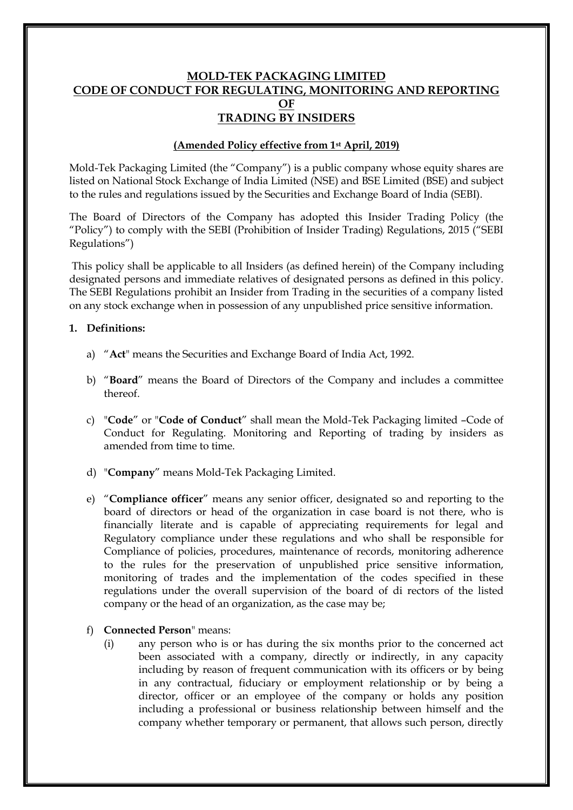# **MOLD-TEK PACKAGING LIMITED CODE OF CONDUCT FOR REGULATING, MONITORING AND REPORTING OF TRADING BY INSIDERS**

#### **(Amended Policy effective from 1st April, 2019)**

Mold-Tek Packaging Limited (the "Company") is a public company whose equity shares are listed on National Stock Exchange of India Limited (NSE) and BSE Limited (BSE) and subject to the rules and regulations issued by the Securities and Exchange Board of India (SEBI).

The Board of Directors of the Company has adopted this Insider Trading Policy (the "Policy") to comply with the SEBI (Prohibition of Insider Trading) Regulations, 2015 ("SEBI Regulations")

This policy shall be applicable to all Insiders (as defined herein) of the Company including designated persons and immediate relatives of designated persons as defined in this policy. The SEBI Regulations prohibit an Insider from Trading in the securities of a company listed on any stock exchange when in possession of any unpublished price sensitive information.

#### **1. Definitions:**

- a) "**Act**" means the Securities and Exchange Board of India Act, 1992.
- b) "**Board**" means the Board of Directors of the Company and includes a committee thereof.
- c) "**Code**" or "**Code of Conduct**" shall mean the Mold-Tek Packaging limited –Code of Conduct for Regulating. Monitoring and Reporting of trading by insiders as amended from time to time.
- d) "**Company**" means Mold-Tek Packaging Limited.
- e) "**Compliance officer**" means any senior officer, designated so and reporting to the board of directors or head of the organization in case board is not there, who is financially literate and is capable of appreciating requirements for legal and Regulatory compliance under these regulations and who shall be responsible for Compliance of policies, procedures, maintenance of records, monitoring adherence to the rules for the preservation of unpublished price sensitive information, monitoring of trades and the implementation of the codes specified in these regulations under the overall supervision of the board of di rectors of the listed company or the head of an organization, as the case may be;
- f) **Connected Person**" means:
	- (i) any person who is or has during the six months prior to the concerned act been associated with a company, directly or indirectly, in any capacity including by reason of frequent communication with its officers or by being in any contractual, fiduciary or employment relationship or by being a director, officer or an employee of the company or holds any position including a professional or business relationship between himself and the company whether temporary or permanent, that allows such person, directly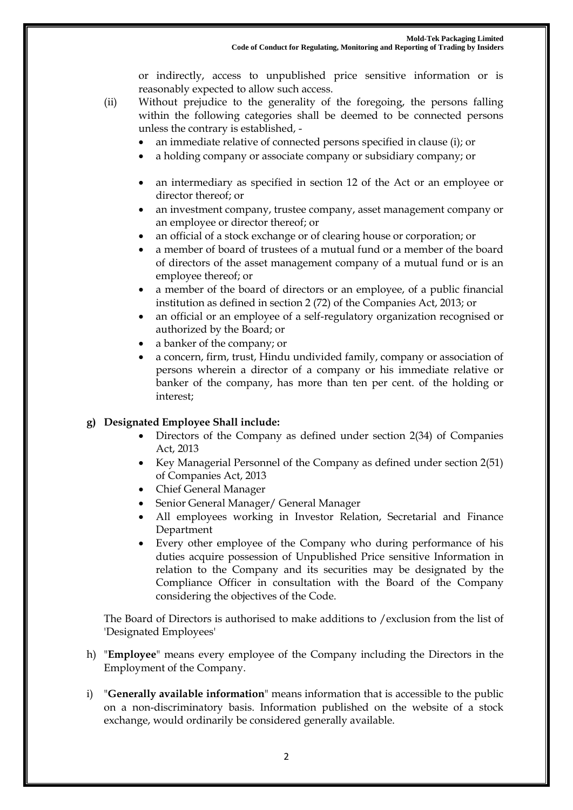or indirectly, access to unpublished price sensitive information or is reasonably expected to allow such access.

- (ii) Without prejudice to the generality of the foregoing, the persons falling within the following categories shall be deemed to be connected persons unless the contrary is established,
	- an immediate relative of connected persons specified in clause (i); or
	- a holding company or associate company or subsidiary company; or
	- an intermediary as specified in section 12 of the Act or an employee or director thereof; or
	- an investment company, trustee company, asset management company or an employee or director thereof; or
	- an official of a stock exchange or of clearing house or corporation; or
	- a member of board of trustees of a mutual fund or a member of the board of directors of the asset management company of a mutual fund or is an employee thereof; or
	- a member of the board of directors or an employee, of a public financial institution as defined in section 2 (72) of the Companies Act, 2013; or
	- an official or an employee of a self-regulatory organization recognised or authorized by the Board; or
	- a banker of the company; or
	- a concern, firm, trust, Hindu undivided family, company or association of persons wherein a director of a company or his immediate relative or banker of the company, has more than ten per cent. of the holding or interest;

#### **g) Designated Employee Shall include:**

- Directors of the Company as defined under section 2(34) of Companies Act, 2013
- Key Managerial Personnel of the Company as defined under section 2(51) of Companies Act, 2013
- Chief General Manager
- Senior General Manager/ General Manager
- All employees working in Investor Relation, Secretarial and Finance Department
- Every other employee of the Company who during performance of his duties acquire possession of Unpublished Price sensitive Information in relation to the Company and its securities may be designated by the Compliance Officer in consultation with the Board of the Company considering the objectives of the Code.

The Board of Directors is authorised to make additions to /exclusion from the list of 'Designated Employees'

- h) "**Employee**" means every employee of the Company including the Directors in the Employment of the Company.
- i) "**Generally available information**" means information that is accessible to the public on a non-discriminatory basis. Information published on the website of a stock exchange, would ordinarily be considered generally available.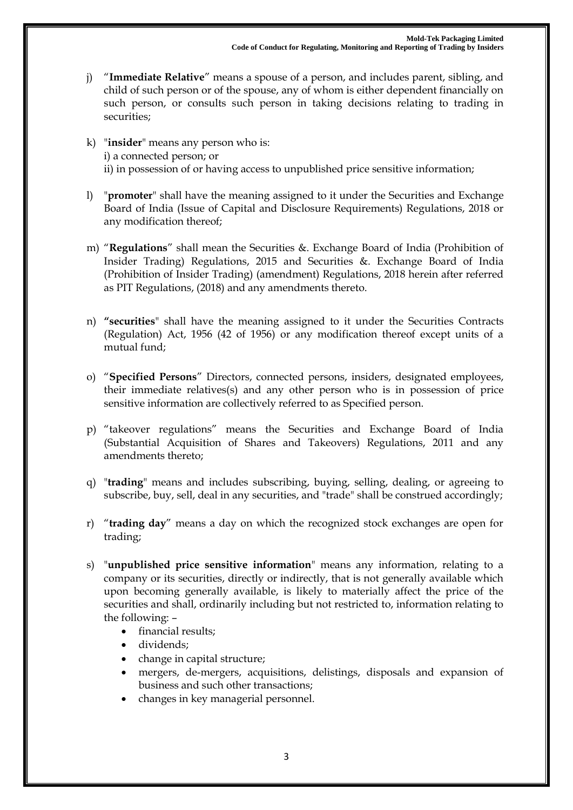- j) "**Immediate Relative**" means a spouse of a person, and includes parent, sibling, and child of such person or of the spouse, any of whom is either dependent financially on such person, or consults such person in taking decisions relating to trading in securities;
- k) "**insider**" means any person who is: i) a connected person; or ii) in possession of or having access to unpublished price sensitive information;
- l) "**promoter**" shall have the meaning assigned to it under the Securities and Exchange Board of India (Issue of Capital and Disclosure Requirements) Regulations, 2018 or any modification thereof;
- m) "**Regulations**" shall mean the Securities &. Exchange Board of India (Prohibition of Insider Trading) Regulations, 2015 and Securities &. Exchange Board of India (Prohibition of Insider Trading) (amendment) Regulations, 2018 herein after referred as PIT Regulations, (2018) and any amendments thereto.
- n) **"securities**" shall have the meaning assigned to it under the Securities Contracts (Regulation) Act, 1956 (42 of 1956) or any modification thereof except units of a mutual fund;
- o) "**Specified Persons**" Directors, connected persons, insiders, designated employees, their immediate relatives(s) and any other person who is in possession of price sensitive information are collectively referred to as Specified person.
- p) "takeover regulations" means the Securities and Exchange Board of India (Substantial Acquisition of Shares and Takeovers) Regulations, 2011 and any amendments thereto;
- q) "**trading**" means and includes subscribing, buying, selling, dealing, or agreeing to subscribe, buy, sell, deal in any securities, and "trade" shall be construed accordingly;
- r) "**trading day**" means a day on which the recognized stock exchanges are open for trading;
- s) "**unpublished price sensitive information**" means any information, relating to a company or its securities, directly or indirectly, that is not generally available which upon becoming generally available, is likely to materially affect the price of the securities and shall, ordinarily including but not restricted to, information relating to the following: –
	- financial results;
	- dividends;
	- change in capital structure;
	- mergers, de-mergers, acquisitions, delistings, disposals and expansion of business and such other transactions;
	- changes in key managerial personnel.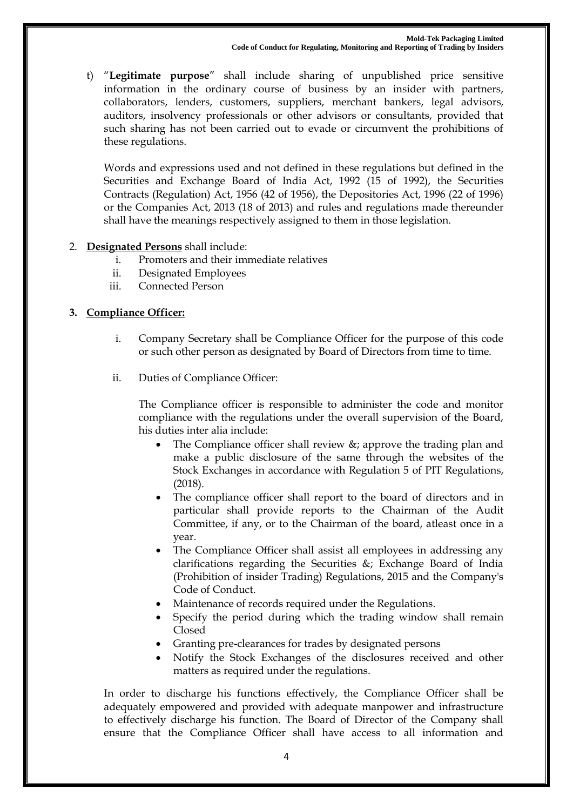t) "**Legitimate purpose**" shall include sharing of unpublished price sensitive information in the ordinary course of business by an insider with partners, collaborators, lenders, customers, suppliers, merchant bankers, legal advisors, auditors, insolvency professionals or other advisors or consultants, provided that such sharing has not been carried out to evade or circumvent the prohibitions of these regulations.

Words and expressions used and not defined in these regulations but defined in the Securities and Exchange Board of India Act, 1992 (15 of 1992), the Securities Contracts (Regulation) Act, 1956 (42 of 1956), the Depositories Act, 1996 (22 of 1996) or the Companies Act, 2013 (18 of 2013) and rules and regulations made thereunder shall have the meanings respectively assigned to them in those legislation.

- 2. **Designated Persons** shall include:
	- i. Promoters and their immediate relatives
	- ii. Designated Employees
	- iii. Connected Person

## **3. Compliance Officer:**

- i. Company Secretary shall be Compliance Officer for the purpose of this code or such other person as designated by Board of Directors from time to time.
- ii. Duties of Compliance Officer:

The Compliance officer is responsible to administer the code and monitor compliance with the regulations under the overall supervision of the Board, his duties inter alia include:

- The Compliance officer shall review &; approve the trading plan and make a public disclosure of the same through the websites of the Stock Exchanges in accordance with Regulation 5 of PIT Regulations, (2018).
- The compliance officer shall report to the board of directors and in particular shall provide reports to the Chairman of the Audit Committee, if any, or to the Chairman of the board, atleast once in a year.
- The Compliance Officer shall assist all employees in addressing any clarifications regarding the Securities &; Exchange Board of India (Prohibition of insider Trading) Regulations, 2015 and the Company's Code of Conduct.
- Maintenance of records required under the Regulations.
- Specify the period during which the trading window shall remain Closed
- Granting pre-clearances for trades by designated persons
- Notify the Stock Exchanges of the disclosures received and other matters as required under the regulations.

In order to discharge his functions effectively, the Compliance Officer shall be adequately empowered and provided with adequate manpower and infrastructure to effectively discharge his function. The Board of Director of the Company shall ensure that the Compliance Officer shall have access to all information and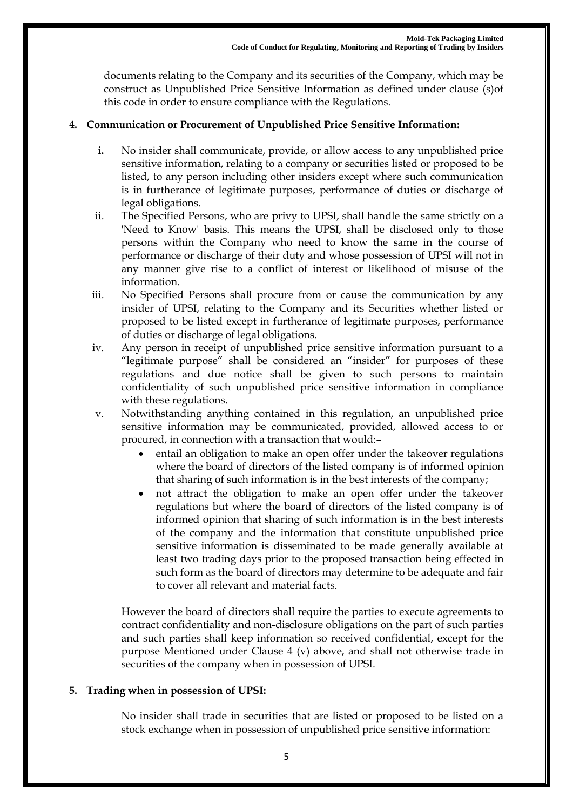documents relating to the Company and its securities of the Company, which may be construct as Unpublished Price Sensitive Information as defined under clause (s)of this code in order to ensure compliance with the Regulations.

## **4. Communication or Procurement of Unpublished Price Sensitive Information:**

- **i.** No insider shall communicate, provide, or allow access to any unpublished price sensitive information, relating to a company or securities listed or proposed to be listed, to any person including other insiders except where such communication is in furtherance of legitimate purposes, performance of duties or discharge of legal obligations.
- ii. The Specified Persons, who are privy to UPSI, shall handle the same strictly on a 'Need to Know' basis. This means the UPSI, shall be disclosed only to those persons within the Company who need to know the same in the course of performance or discharge of their duty and whose possession of UPSI will not in any manner give rise to a conflict of interest or likelihood of misuse of the information.
- iii. No Specified Persons shall procure from or cause the communication by any insider of UPSI, relating to the Company and its Securities whether listed or proposed to be listed except in furtherance of legitimate purposes, performance of duties or discharge of legal obligations.
- iv. Any person in receipt of unpublished price sensitive information pursuant to a "legitimate purpose" shall be considered an "insider" for purposes of these regulations and due notice shall be given to such persons to maintain confidentiality of such unpublished price sensitive information in compliance with these regulations.
- v. Notwithstanding anything contained in this regulation, an unpublished price sensitive information may be communicated, provided, allowed access to or procured, in connection with a transaction that would:–
	- entail an obligation to make an open offer under the takeover regulations where the board of directors of the listed company is of informed opinion that sharing of such information is in the best interests of the company;
	- not attract the obligation to make an open offer under the takeover regulations but where the board of directors of the listed company is of informed opinion that sharing of such information is in the best interests of the company and the information that constitute unpublished price sensitive information is disseminated to be made generally available at least two trading days prior to the proposed transaction being effected in such form as the board of directors may determine to be adequate and fair to cover all relevant and material facts.

However the board of directors shall require the parties to execute agreements to contract confidentiality and non-disclosure obligations on the part of such parties and such parties shall keep information so received confidential, except for the purpose Mentioned under Clause 4 (v) above, and shall not otherwise trade in securities of the company when in possession of UPSI.

## **5. Trading when in possession of UPSI:**

No insider shall trade in securities that are listed or proposed to be listed on a stock exchange when in possession of unpublished price sensitive information: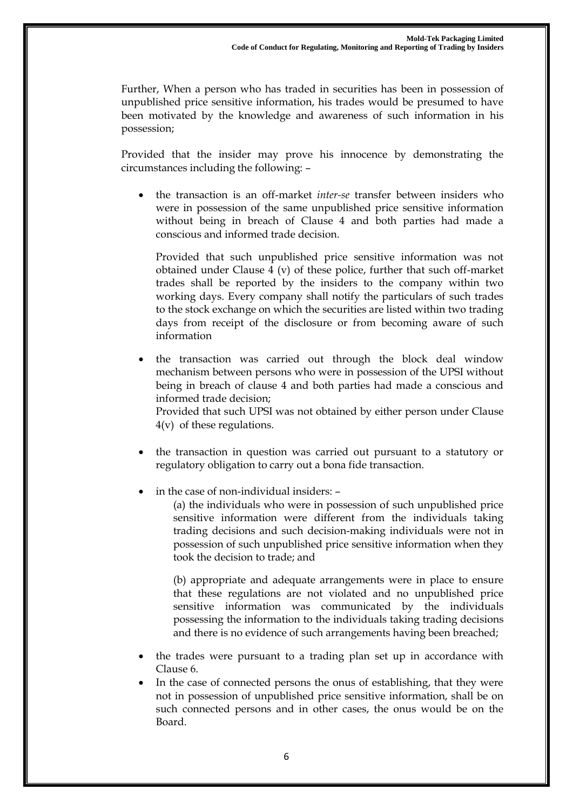Further, When a person who has traded in securities has been in possession of unpublished price sensitive information, his trades would be presumed to have been motivated by the knowledge and awareness of such information in his possession;

Provided that the insider may prove his innocence by demonstrating the circumstances including the following: –

 the transaction is an off-market *inter-se* transfer between insiders who were in possession of the same unpublished price sensitive information without being in breach of Clause 4 and both parties had made a conscious and informed trade decision.

Provided that such unpublished price sensitive information was not obtained under Clause 4 (v) of these police, further that such off-market trades shall be reported by the insiders to the company within two working days. Every company shall notify the particulars of such trades to the stock exchange on which the securities are listed within two trading days from receipt of the disclosure or from becoming aware of such information

 the transaction was carried out through the block deal window mechanism between persons who were in possession of the UPSI without being in breach of clause 4 and both parties had made a conscious and informed trade decision;

Provided that such UPSI was not obtained by either person under Clause 4(v) of these regulations.

 the transaction in question was carried out pursuant to a statutory or regulatory obligation to carry out a bona fide transaction.

in the case of non-individual insiders: –

(a) the individuals who were in possession of such unpublished price sensitive information were different from the individuals taking trading decisions and such decision-making individuals were not in possession of such unpublished price sensitive information when they took the decision to trade; and

(b) appropriate and adequate arrangements were in place to ensure that these regulations are not violated and no unpublished price sensitive information was communicated by the individuals possessing the information to the individuals taking trading decisions and there is no evidence of such arrangements having been breached;

- the trades were pursuant to a trading plan set up in accordance with Clause 6.
- In the case of connected persons the onus of establishing, that they were not in possession of unpublished price sensitive information, shall be on such connected persons and in other cases, the onus would be on the Board.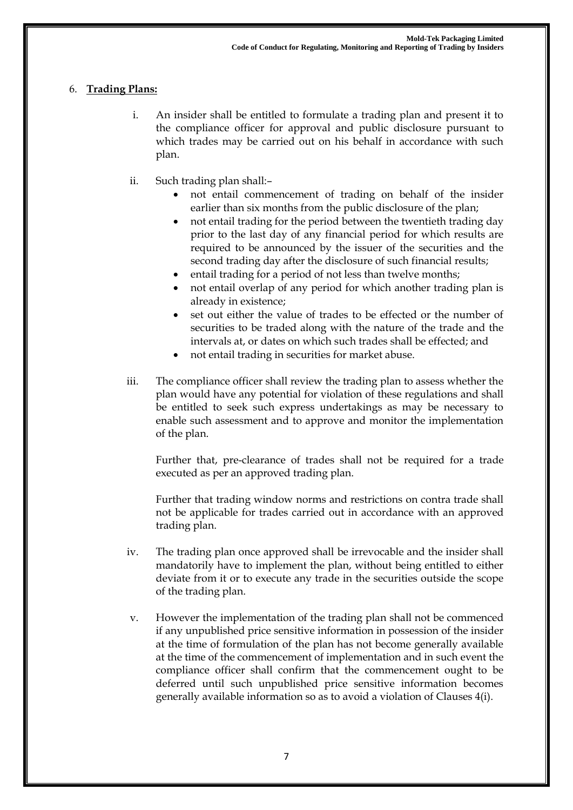# 6. **Trading Plans:**

- i. An insider shall be entitled to formulate a trading plan and present it to the compliance officer for approval and public disclosure pursuant to which trades may be carried out on his behalf in accordance with such plan.
- ii. Such trading plan shall:–
	- not entail commencement of trading on behalf of the insider earlier than six months from the public disclosure of the plan;
	- not entail trading for the period between the twentieth trading day prior to the last day of any financial period for which results are required to be announced by the issuer of the securities and the second trading day after the disclosure of such financial results;
	- entail trading for a period of not less than twelve months;
	- not entail overlap of any period for which another trading plan is already in existence;
	- set out either the value of trades to be effected or the number of securities to be traded along with the nature of the trade and the intervals at, or dates on which such trades shall be effected; and
	- not entail trading in securities for market abuse.
- iii. The compliance officer shall review the trading plan to assess whether the plan would have any potential for violation of these regulations and shall be entitled to seek such express undertakings as may be necessary to enable such assessment and to approve and monitor the implementation of the plan.

Further that, pre-clearance of trades shall not be required for a trade executed as per an approved trading plan.

Further that trading window norms and restrictions on contra trade shall not be applicable for trades carried out in accordance with an approved trading plan.

- iv. The trading plan once approved shall be irrevocable and the insider shall mandatorily have to implement the plan, without being entitled to either deviate from it or to execute any trade in the securities outside the scope of the trading plan.
- v. However the implementation of the trading plan shall not be commenced if any unpublished price sensitive information in possession of the insider at the time of formulation of the plan has not become generally available at the time of the commencement of implementation and in such event the compliance officer shall confirm that the commencement ought to be deferred until such unpublished price sensitive information becomes generally available information so as to avoid a violation of Clauses 4(i).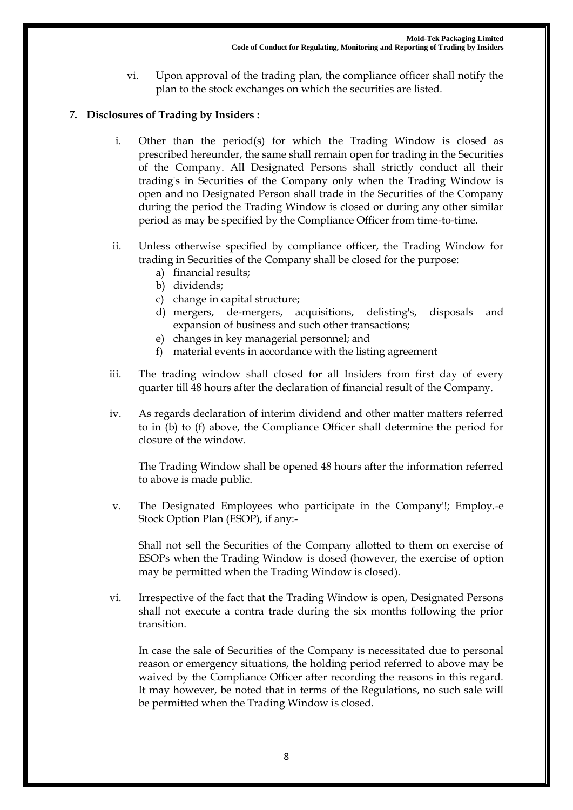vi. Upon approval of the trading plan, the compliance officer shall notify the plan to the stock exchanges on which the securities are listed.

# **7. Disclosures of Trading by Insiders :**

- i. Other than the period(s) for which the Trading Window is closed as prescribed hereunder, the same shall remain open for trading in the Securities of the Company. All Designated Persons shall strictly conduct all their trading's in Securities of the Company only when the Trading Window is open and no Designated Person shall trade in the Securities of the Company during the period the Trading Window is closed or during any other similar period as may be specified by the Compliance Officer from time-to-time.
- ii. Unless otherwise specified by compliance officer, the Trading Window for trading in Securities of the Company shall be closed for the purpose:
	- a) financial results;
	- b) dividends;
	- c) change in capital structure;
	- d) mergers, de-mergers, acquisitions, delisting's, disposals and expansion of business and such other transactions;
	- e) changes in key managerial personnel; and
	- f) material events in accordance with the listing agreement
- iii. The trading window shall closed for all Insiders from first day of every quarter till 48 hours after the declaration of financial result of the Company.
- iv. As regards declaration of interim dividend and other matter matters referred to in (b) to (f) above, the Compliance Officer shall determine the period for closure of the window.

The Trading Window shall be opened 48 hours after the information referred to above is made public.

v. The Designated Employees who participate in the Company'!; Employ.-e Stock Option Plan (ESOP), if any:-

Shall not sell the Securities of the Company allotted to them on exercise of ESOPs when the Trading Window is dosed (however, the exercise of option may be permitted when the Trading Window is closed).

vi. Irrespective of the fact that the Trading Window is open, Designated Persons shall not execute a contra trade during the six months following the prior transition.

In case the sale of Securities of the Company is necessitated due to personal reason or emergency situations, the holding period referred to above may be waived by the Compliance Officer after recording the reasons in this regard. It may however, be noted that in terms of the Regulations, no such sale will be permitted when the Trading Window is closed.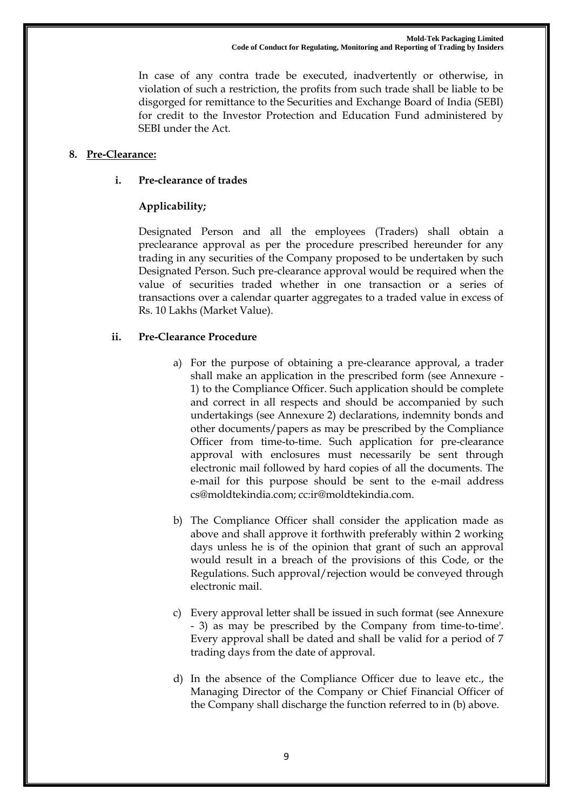In case of any contra trade be executed, inadvertently or otherwise, in violation of such a restriction, the profits from such trade shall be liable to be disgorged for remittance to the Securities and Exchange Board of India (SEBI) for credit to the Investor Protection and Education Fund administered by SEBI under the Act.

### **8. Pre-Clearance:**

### **i. Pre-clearance of trades**

# **Applicability;**

Designated Person and all the employees (Traders) shall obtain a preclearance approval as per the procedure prescribed hereunder for any trading in any securities of the Company proposed to be undertaken by such Designated Person. Such pre-clearance approval would be required when the value of securities traded whether in one transaction or a series of transactions over a calendar quarter aggregates to a traded value in excess of Rs. 10 Lakhs (Market Value).

### **ii. Pre-Clearance Procedure**

- a) For the purpose of obtaining a pre-clearance approval, a trader shall make an application in the prescribed form (see Annexure - 1) to the Compliance Officer. Such application should be complete and correct in all respects and should be accompanied by such undertakings (see Annexure 2) declarations, indemnity bonds and other documents/papers as may be prescribed by the Compliance Officer from time-to-time. Such application for pre-clearance approval with enclosures must necessarily be sent through electronic mail followed by hard copies of all the documents. The e-mail for this purpose should be sent to the e-mail address cs@moldtekindia.com; cc:ir@moldtekindia.com.
- b) The Compliance Officer shall consider the application made as above and shall approve it forthwith preferably within 2 working days unless he is of the opinion that grant of such an approval would result in a breach of the provisions of this Code, or the Regulations. Such approval/rejection would be conveyed through electronic mail.
- c) Every approval letter shall be issued in such format (see Annexure - 3) as may be prescribed by the Company from time-to-time'. Every approval shall be dated and shall be valid for a period of 7 trading days from the date of approval.
- d) In the absence of the Compliance Officer due to leave etc., the Managing Director of the Company or Chief Financial Officer of the Company shall discharge the function referred to in (b) above.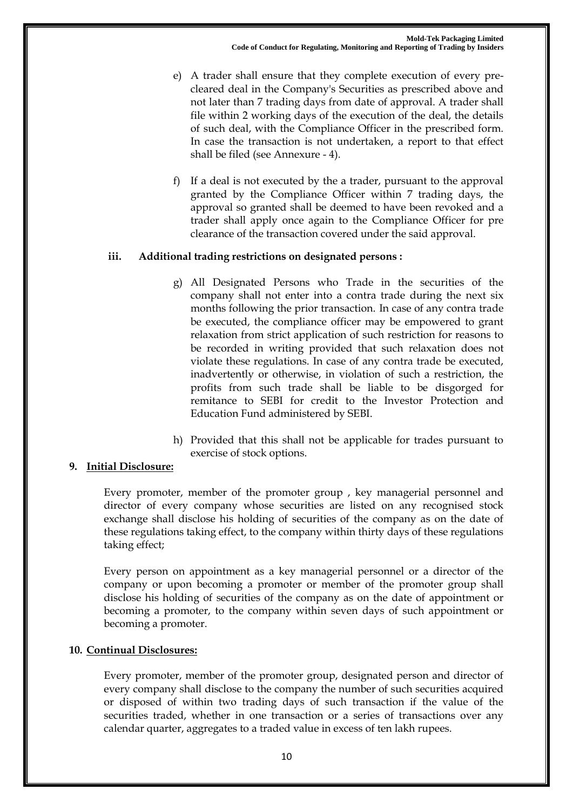- e) A trader shall ensure that they complete execution of every precleared deal in the Company's Securities as prescribed above and not later than 7 trading days from date of approval. A trader shall file within 2 working days of the execution of the deal, the details of such deal, with the Compliance Officer in the prescribed form. In case the transaction is not undertaken, a report to that effect shall be filed (see Annexure - 4).
- f) If a deal is not executed by the a trader, pursuant to the approval granted by the Compliance Officer within 7 trading days, the approval so granted shall be deemed to have been revoked and a trader shall apply once again to the Compliance Officer for pre clearance of the transaction covered under the said approval.

## **iii. Additional trading restrictions on designated persons :**

- g) All Designated Persons who Trade in the securities of the company shall not enter into a contra trade during the next six months following the prior transaction. In case of any contra trade be executed, the compliance officer may be empowered to grant relaxation from strict application of such restriction for reasons to be recorded in writing provided that such relaxation does not violate these regulations. In case of any contra trade be executed, inadvertently or otherwise, in violation of such a restriction, the profits from such trade shall be liable to be disgorged for remitance to SEBI for credit to the Investor Protection and Education Fund administered by SEBI.
- h) Provided that this shall not be applicable for trades pursuant to exercise of stock options.

#### **9. Initial Disclosure:**

Every promoter, member of the promoter group , key managerial personnel and director of every company whose securities are listed on any recognised stock exchange shall disclose his holding of securities of the company as on the date of these regulations taking effect, to the company within thirty days of these regulations taking effect;

Every person on appointment as a key managerial personnel or a director of the company or upon becoming a promoter or member of the promoter group shall disclose his holding of securities of the company as on the date of appointment or becoming a promoter, to the company within seven days of such appointment or becoming a promoter.

#### **10. Continual Disclosures:**

Every promoter, member of the promoter group, designated person and director of every company shall disclose to the company the number of such securities acquired or disposed of within two trading days of such transaction if the value of the securities traded, whether in one transaction or a series of transactions over any calendar quarter, aggregates to a traded value in excess of ten lakh rupees.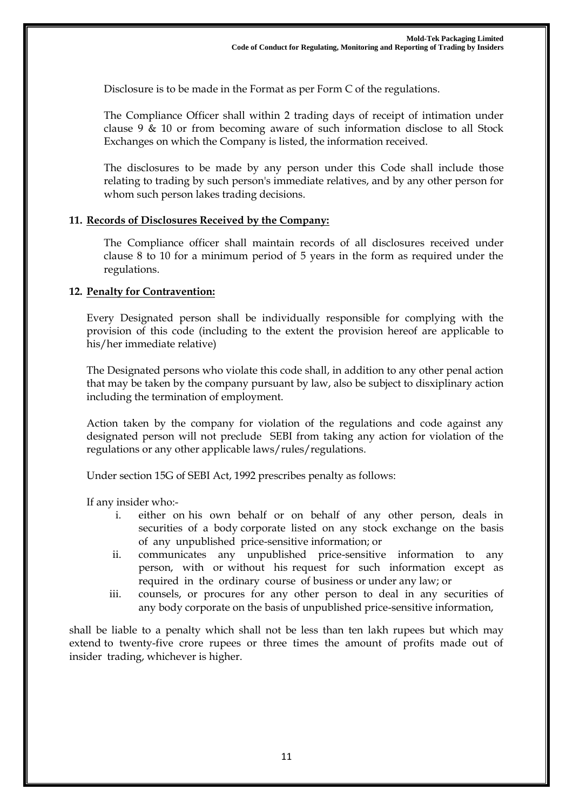Disclosure is to be made in the Format as per Form C of the regulations.

The Compliance Officer shall within 2 trading days of receipt of intimation under clause 9 & 10 or from becoming aware of such information disclose to all Stock Exchanges on which the Company is listed, the information received.

The disclosures to be made by any person under this Code shall include those relating to trading by such person's immediate relatives, and by any other person for whom such person lakes trading decisions.

#### **11. Records of Disclosures Received by the Company:**

The Compliance officer shall maintain records of all disclosures received under clause 8 to 10 for a minimum period of 5 years in the form as required under the regulations.

#### **12. Penalty for Contravention:**

Every Designated person shall be individually responsible for complying with the provision of this code (including to the extent the provision hereof are applicable to his/her immediate relative)

The Designated persons who violate this code shall, in addition to any other penal action that may be taken by the company pursuant by law, also be subject to disxiplinary action including the termination of employment.

Action taken by the company for violation of the regulations and code against any designated person will not preclude SEBI from taking any action for violation of the regulations or any other applicable laws/rules/regulations.

Under section 15G of SEBI Act, 1992 prescribes penalty as follows:

If any insider who:-

- i. either on his own behalf or on behalf of any other person, deals in securities of a body corporate listed on any stock exchange on the basis of any unpublished price-sensitive information; or
- ii. communicates any unpublished price-sensitive information to any person, with or without his request for such information except as required in the ordinary course of business or under any law; or
- iii. counsels, or procures for any other person to deal in any securities of any body corporate on the basis of unpublished price-sensitive information,

shall be liable to a penalty which shall not be less than ten lakh rupees but which may extend to twenty-five crore rupees or three times the amount of profits made out of insider trading, whichever is higher.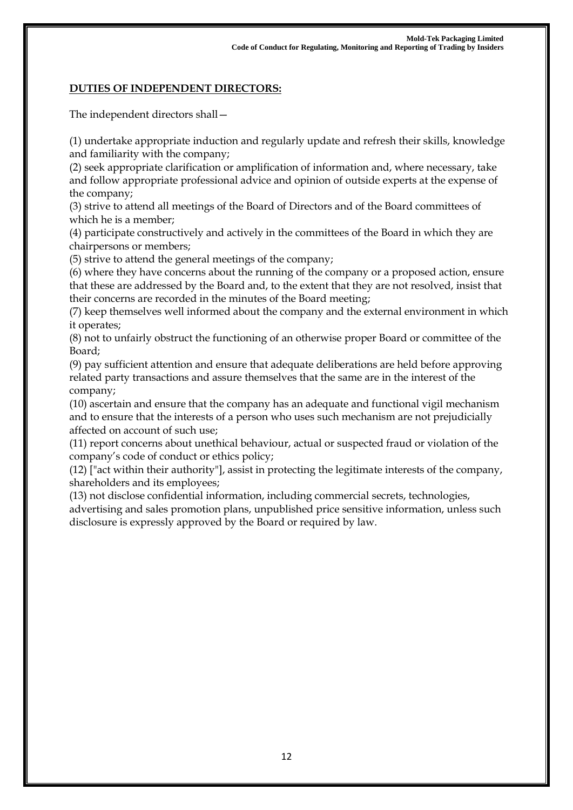# **DUTIES OF INDEPENDENT DIRECTORS:**

The independent directors shall—

(1) undertake appropriate induction and regularly update and refresh their skills, knowledge and familiarity with the company;

(2) seek appropriate clarification or amplification of information and, where necessary, take and follow appropriate professional advice and opinion of outside experts at the expense of the company;

(3) strive to attend all meetings of the Board of Directors and of the Board committees of which he is a member;

(4) participate constructively and actively in the committees of the Board in which they are chairpersons or members;

(5) strive to attend the general meetings of the company;

(6) where they have concerns about the running of the company or a proposed action, ensure that these are addressed by the Board and, to the extent that they are not resolved, insist that their concerns are recorded in the minutes of the Board meeting;

(7) keep themselves well informed about the company and the external environment in which it operates;

(8) not to unfairly obstruct the functioning of an otherwise proper Board or committee of the Board;

(9) pay sufficient attention and ensure that adequate deliberations are held before approving related party transactions and assure themselves that the same are in the interest of the company;

(10) ascertain and ensure that the company has an adequate and functional vigil mechanism and to ensure that the interests of a person who uses such mechanism are not prejudicially affected on account of such use;

(11) report concerns about unethical behaviour, actual or suspected fraud or violation of the company's code of conduct or ethics policy;

(12) ["act within their authority"], assist in protecting the legitimate interests of the company, shareholders and its employees;

(13) not disclose confidential information, including commercial secrets, technologies, advertising and sales promotion plans, unpublished price sensitive information, unless such disclosure is expressly approved by the Board or required by law.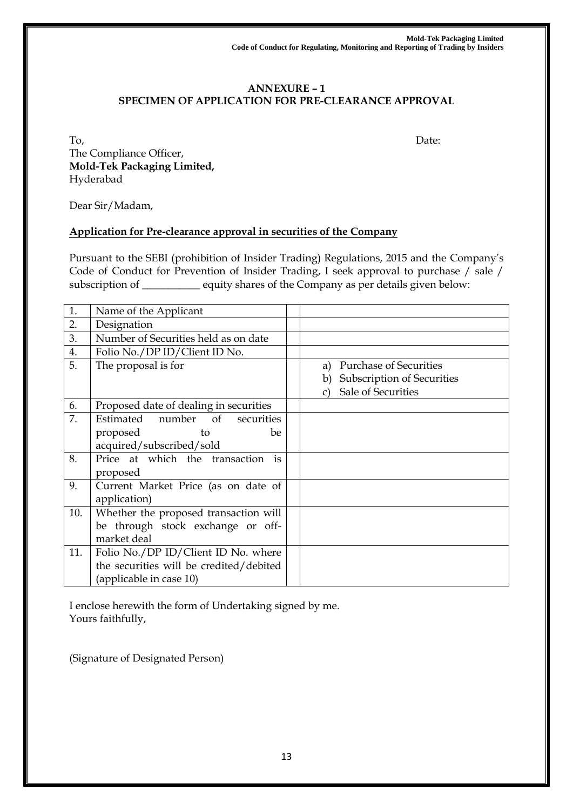#### **ANNEXURE – 1 SPECIMEN OF APPLICATION FOR PRE-CLEARANCE APPROVAL**

To, Date: The Compliance Officer, **Mold-Tek Packaging Limited,**

Hyderabad

Dear Sir/Madam,

# **Application for Pre-clearance approval in securities of the Company**

Pursuant to the SEBI (prohibition of Insider Trading) Regulations, 2015 and the Company's Code of Conduct for Prevention of Insider Trading, I seek approval to purchase / sale / subscription of \_\_\_\_\_\_\_\_\_\_\_ equity shares of the Company as per details given below:

| 1.  | Name of the Applicant                                                                                     |                                                                                               |
|-----|-----------------------------------------------------------------------------------------------------------|-----------------------------------------------------------------------------------------------|
| 2.  | Designation                                                                                               |                                                                                               |
| 3.  | Number of Securities held as on date                                                                      |                                                                                               |
| 4.  | Folio No./DP ID/Client ID No.                                                                             |                                                                                               |
| 5.  | The proposal is for                                                                                       | <b>Purchase of Securities</b><br>a)<br>Subscription of Securities<br>b)<br>Sale of Securities |
| 6.  | Proposed date of dealing in securities                                                                    |                                                                                               |
| 7.  | Estimated number of securities<br>proposed<br>be<br>to<br>acquired/subscribed/sold                        |                                                                                               |
| 8.  | Price at which the transaction is<br>proposed                                                             |                                                                                               |
| 9.  | Current Market Price (as on date of<br>application)                                                       |                                                                                               |
| 10. | Whether the proposed transaction will<br>be through stock exchange or off-<br>market deal                 |                                                                                               |
| 11. | Folio No./DP ID/Client ID No. where<br>the securities will be credited/debited<br>(applicable in case 10) |                                                                                               |

I enclose herewith the form of Undertaking signed by me. Yours faithfully,

(Signature of Designated Person)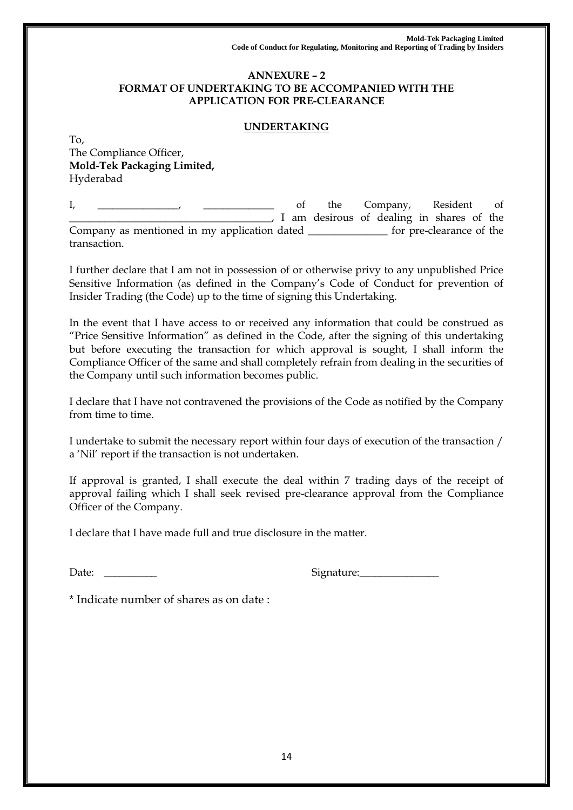#### **ANNEXURE – 2 FORMAT OF UNDERTAKING TO BE ACCOMPANIED WITH THE APPLICATION FOR PRE-CLEARANCE**

### **UNDERTAKING**

To, The Compliance Officer, **Mold-Tek Packaging Limited,**  Hyderabad

I, \_\_\_\_\_\_\_\_\_\_\_\_\_, \_\_\_\_\_\_\_\_\_\_\_\_ of the Company, Resident of \_\_\_\_\_\_\_\_\_\_\_\_\_\_\_\_\_\_\_\_\_\_\_\_\_\_\_\_\_\_\_\_\_\_\_\_\_\_\_\_, I am desirous of dealing in shares of the Company as mentioned in my application dated \_\_\_\_\_\_\_\_\_\_\_\_\_\_\_ for pre-clearance of the transaction.

I further declare that I am not in possession of or otherwise privy to any unpublished Price Sensitive Information (as defined in the Company's Code of Conduct for prevention of Insider Trading (the Code) up to the time of signing this Undertaking.

In the event that I have access to or received any information that could be construed as "Price Sensitive Information" as defined in the Code, after the signing of this undertaking but before executing the transaction for which approval is sought, I shall inform the Compliance Officer of the same and shall completely refrain from dealing in the securities of the Company until such information becomes public.

I declare that I have not contravened the provisions of the Code as notified by the Company from time to time.

I undertake to submit the necessary report within four days of execution of the transaction / a 'Nil' report if the transaction is not undertaken.

If approval is granted, I shall execute the deal within 7 trading days of the receipt of approval failing which I shall seek revised pre-clearance approval from the Compliance Officer of the Company.

I declare that I have made full and true disclosure in the matter.

Date: \_\_\_\_\_\_\_\_\_\_ Signature:\_\_\_\_\_\_\_\_\_\_\_\_\_\_\_

\* Indicate number of shares as on date :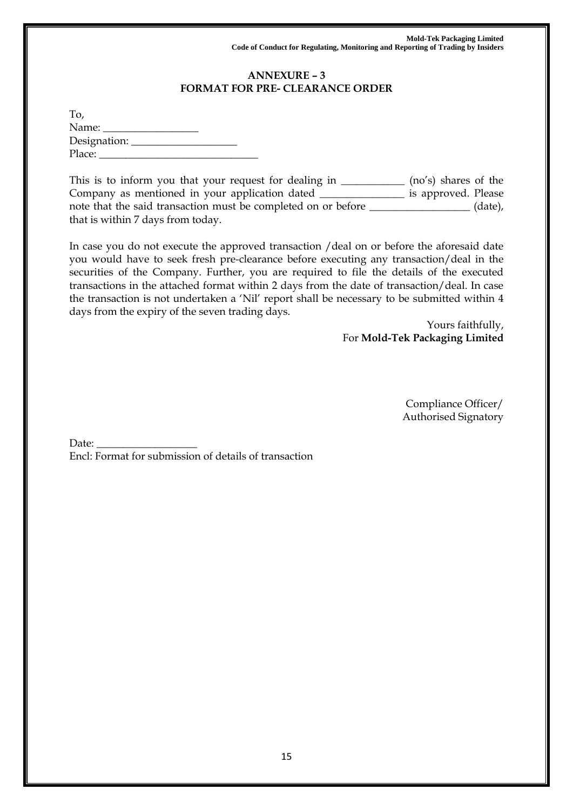## **ANNEXURE – 3 FORMAT FOR PRE- CLEARANCE ORDER**

| To,                |  |
|--------------------|--|
| Name:              |  |
| Designation: _____ |  |
| Place:             |  |

This is to inform you that your request for dealing in \_\_\_\_\_\_\_\_\_\_\_\_\_ (no's) shares of the Company as mentioned in your application dated \_\_\_\_\_\_\_\_\_\_\_\_\_\_\_\_ is approved. Please note that the said transaction must be completed on or before \_\_\_\_\_\_\_\_\_\_\_\_\_\_\_\_\_\_\_ (date), that is within 7 days from today.

In case you do not execute the approved transaction /deal on or before the aforesaid date you would have to seek fresh pre-clearance before executing any transaction/deal in the securities of the Company. Further, you are required to file the details of the executed transactions in the attached format within 2 days from the date of transaction/deal. In case the transaction is not undertaken a 'Nil' report shall be necessary to be submitted within 4 days from the expiry of the seven trading days.

> Yours faithfully, For **Mold-Tek Packaging Limited**

> > Compliance Officer/ Authorised Signatory

Date:  $\_$ Encl: Format for submission of details of transaction